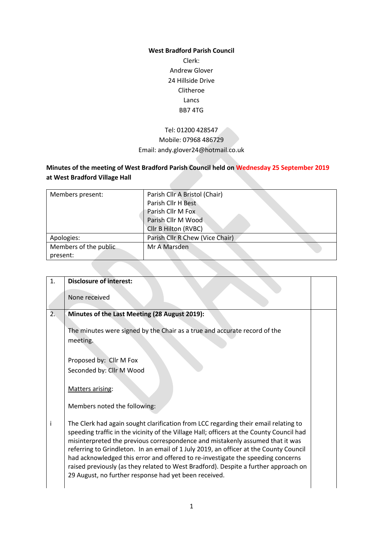#### **West Bradford Parish Council**

Clerk: Andrew Glover 24 Hillside Drive Clitheroe Lancs BB7 4TG

# Tel: 01200 428547 Mobile: 07968 486729 Email: andy.glover24@hotmail.co.uk

# **Minutes of the meeting of West Bradford Parish Council held on Wednesday 25 September 2019 at West Bradford Village Hall**

| Members present:      | Parish Cllr A Bristol (Chair)   |
|-----------------------|---------------------------------|
|                       | Parish Cllr H Best              |
|                       | Parish Cllr M Fox               |
|                       | Parish Cllr M Wood              |
|                       | Cllr B Hilton (RVBC)            |
| Apologies:            | Parish Cllr R Chew (Vice Chair) |
| Members of the public | Mr A Marsden                    |
| present:              |                                 |

| 1. | <b>Disclosure of interest:</b>                                                                                                                                                                                                                                                                                                                                                                                                                                                                                                                                                               |  |
|----|----------------------------------------------------------------------------------------------------------------------------------------------------------------------------------------------------------------------------------------------------------------------------------------------------------------------------------------------------------------------------------------------------------------------------------------------------------------------------------------------------------------------------------------------------------------------------------------------|--|
|    | None received                                                                                                                                                                                                                                                                                                                                                                                                                                                                                                                                                                                |  |
| 2. | Minutes of the Last Meeting (28 August 2019):<br>The minutes were signed by the Chair as a true and accurate record of the<br>meeting.                                                                                                                                                                                                                                                                                                                                                                                                                                                       |  |
|    | Proposed by: Cllr M Fox<br>Seconded by: Cllr M Wood<br>Matters arising:<br>Members noted the following:                                                                                                                                                                                                                                                                                                                                                                                                                                                                                      |  |
| Ť  | The Clerk had again sought clarification from LCC regarding their email relating to<br>speeding traffic in the vicinity of the Village Hall; officers at the County Council had<br>misinterpreted the previous correspondence and mistakenly assumed that it was<br>referring to Grindleton. In an email of 1 July 2019, an officer at the County Council<br>had acknowledged this error and offered to re-investigate the speeding concerns<br>raised previously (as they related to West Bradford). Despite a further approach on<br>29 August, no further response had yet been received. |  |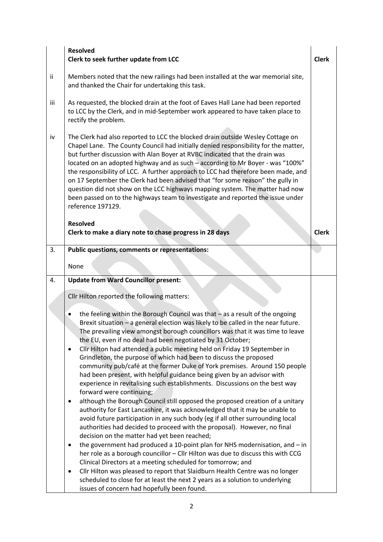|     | <b>Resolved</b><br>Clerk to seek further update from LCC                                                                                                                                                                                                                                                                                                                                                                                                                                                                                                                                                                                                                                                                                                                                                                                                                                                                                                                                                  |  |  |  |
|-----|-----------------------------------------------------------------------------------------------------------------------------------------------------------------------------------------------------------------------------------------------------------------------------------------------------------------------------------------------------------------------------------------------------------------------------------------------------------------------------------------------------------------------------------------------------------------------------------------------------------------------------------------------------------------------------------------------------------------------------------------------------------------------------------------------------------------------------------------------------------------------------------------------------------------------------------------------------------------------------------------------------------|--|--|--|
| ii. | Members noted that the new railings had been installed at the war memorial site,<br>and thanked the Chair for undertaking this task.                                                                                                                                                                                                                                                                                                                                                                                                                                                                                                                                                                                                                                                                                                                                                                                                                                                                      |  |  |  |
| iii | As requested, the blocked drain at the foot of Eaves Hall Lane had been reported<br>to LCC by the Clerk, and in mid-September work appeared to have taken place to<br>rectify the problem.                                                                                                                                                                                                                                                                                                                                                                                                                                                                                                                                                                                                                                                                                                                                                                                                                |  |  |  |
| iv  | The Clerk had also reported to LCC the blocked drain outside Wesley Cottage on<br>Chapel Lane. The County Council had initially denied responsibility for the matter,<br>but further discussion with Alan Boyer at RVBC indicated that the drain was<br>located on an adopted highway and as such - according to Mr Boyer - was "100%"<br>the responsibility of LCC. A further approach to LCC had therefore been made, and<br>on 17 September the Clerk had been advised that "for some reason" the gully in<br>question did not show on the LCC highways mapping system. The matter had now<br>been passed on to the highways team to investigate and reported the issue under<br>reference 197129.<br><b>Resolved</b>                                                                                                                                                                                                                                                                                  |  |  |  |
| 3.  | Clerk to make a diary note to chase progress in 28 days<br>Public questions, comments or representations:                                                                                                                                                                                                                                                                                                                                                                                                                                                                                                                                                                                                                                                                                                                                                                                                                                                                                                 |  |  |  |
|     |                                                                                                                                                                                                                                                                                                                                                                                                                                                                                                                                                                                                                                                                                                                                                                                                                                                                                                                                                                                                           |  |  |  |
|     | None                                                                                                                                                                                                                                                                                                                                                                                                                                                                                                                                                                                                                                                                                                                                                                                                                                                                                                                                                                                                      |  |  |  |
| 4.  | <b>Update from Ward Councillor present:</b>                                                                                                                                                                                                                                                                                                                                                                                                                                                                                                                                                                                                                                                                                                                                                                                                                                                                                                                                                               |  |  |  |
|     | Cllr Hilton reported the following matters:                                                                                                                                                                                                                                                                                                                                                                                                                                                                                                                                                                                                                                                                                                                                                                                                                                                                                                                                                               |  |  |  |
|     | the feeling within the Borough Council was that $-$ as a result of the ongoing<br>Brexit situation - a general election was likely to be called in the near future.<br>The prevailing view amongst borough councillors was that it was time to leave<br>the EU, even if no deal had been negotiated by 31 October;<br>Cllr Hilton had attended a public meeting held on Friday 19 September in<br>$\bullet$<br>Grindleton, the purpose of which had been to discuss the proposed<br>community pub/café at the former Duke of York premises. Around 150 people<br>had been present, with helpful guidance being given by an advisor with<br>experience in revitalising such establishments. Discussions on the best way<br>forward were continuing;<br>although the Borough Council still opposed the proposed creation of a unitary<br>٠<br>authority for East Lancashire, it was acknowledged that it may be unable to<br>avoid future participation in any such body (eg if all other surrounding local |  |  |  |
|     | authorities had decided to proceed with the proposal). However, no final<br>decision on the matter had yet been reached;                                                                                                                                                                                                                                                                                                                                                                                                                                                                                                                                                                                                                                                                                                                                                                                                                                                                                  |  |  |  |
|     | the government had produced a 10-point plan for NHS modernisation, and $-$ in<br>٠<br>her role as a borough councillor - Cllr Hilton was due to discuss this with CCG<br>Clinical Directors at a meeting scheduled for tomorrow; and                                                                                                                                                                                                                                                                                                                                                                                                                                                                                                                                                                                                                                                                                                                                                                      |  |  |  |
|     | Cllr Hilton was pleased to report that Slaidburn Health Centre was no longer<br>٠<br>scheduled to close for at least the next 2 years as a solution to underlying<br>issues of concern had hopefully been found.                                                                                                                                                                                                                                                                                                                                                                                                                                                                                                                                                                                                                                                                                                                                                                                          |  |  |  |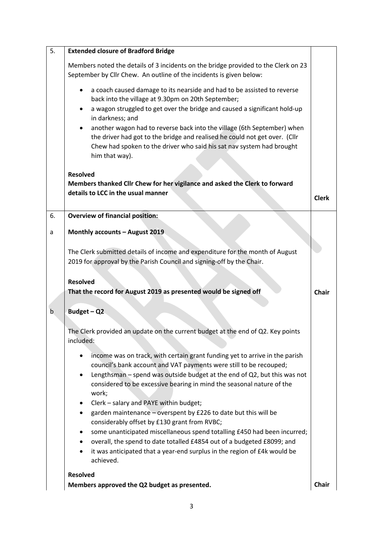| 5.          | <b>Extended closure of Bradford Bridge</b>                                                                                                                                                                                                                                                                      |              |  |  |
|-------------|-----------------------------------------------------------------------------------------------------------------------------------------------------------------------------------------------------------------------------------------------------------------------------------------------------------------|--------------|--|--|
|             | Members noted the details of 3 incidents on the bridge provided to the Clerk on 23<br>September by Cllr Chew. An outline of the incidents is given below:                                                                                                                                                       |              |  |  |
|             | a coach caused damage to its nearside and had to be assisted to reverse<br>back into the village at 9.30pm on 20th September;                                                                                                                                                                                   |              |  |  |
|             | a wagon struggled to get over the bridge and caused a significant hold-up<br>٠<br>in darkness; and                                                                                                                                                                                                              |              |  |  |
|             | another wagon had to reverse back into the village (6th September) when<br>the driver had got to the bridge and realised he could not get over. (Cllr<br>Chew had spoken to the driver who said his sat nav system had brought<br>him that way).                                                                |              |  |  |
|             | <b>Resolved</b>                                                                                                                                                                                                                                                                                                 |              |  |  |
|             | Members thanked Cllr Chew for her vigilance and asked the Clerk to forward                                                                                                                                                                                                                                      |              |  |  |
|             | details to LCC in the usual manner                                                                                                                                                                                                                                                                              | <b>Clerk</b> |  |  |
| 6.          | <b>Overview of financial position:</b>                                                                                                                                                                                                                                                                          |              |  |  |
| a           | Monthly accounts - August 2019                                                                                                                                                                                                                                                                                  |              |  |  |
|             | The Clerk submitted details of income and expenditure for the month of August                                                                                                                                                                                                                                   |              |  |  |
|             | 2019 for approval by the Parish Council and signing-off by the Chair.                                                                                                                                                                                                                                           |              |  |  |
|             | <b>Resolved</b>                                                                                                                                                                                                                                                                                                 |              |  |  |
|             | That the record for August 2019 as presented would be signed off                                                                                                                                                                                                                                                | <b>Chair</b> |  |  |
| $\mathsf b$ | Budget $-Q2$                                                                                                                                                                                                                                                                                                    |              |  |  |
|             | The Clerk provided an update on the current budget at the end of Q2. Key points<br>included:                                                                                                                                                                                                                    |              |  |  |
|             | income was on track, with certain grant funding yet to arrive in the parish<br>council's bank account and VAT payments were still to be recouped;<br>Lengthsman - spend was outside budget at the end of Q2, but this was not<br>considered to be excessive bearing in mind the seasonal nature of the<br>work; |              |  |  |
|             | Clerk - salary and PAYE within budget;<br>٠<br>garden maintenance - overspent by £226 to date but this will be<br>considerably offset by £130 grant from RVBC;                                                                                                                                                  |              |  |  |
|             | some unanticipated miscellaneous spend totalling £450 had been incurred;<br>overall, the spend to date totalled £4854 out of a budgeted £8099; and<br>٠<br>it was anticipated that a year-end surplus in the region of £4k would be<br>achieved.                                                                |              |  |  |
|             | <b>Resolved</b>                                                                                                                                                                                                                                                                                                 |              |  |  |
|             | Members approved the Q2 budget as presented.                                                                                                                                                                                                                                                                    | Chair        |  |  |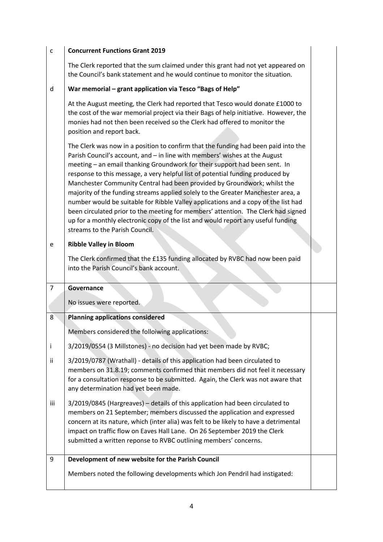| $\mathsf{C}$   | <b>Concurrent Functions Grant 2019</b>                                                                                                                                                                                                                                                                                                                                                                                                                                                                                                                                                                                                                                                                                                                                                            |  |  |
|----------------|---------------------------------------------------------------------------------------------------------------------------------------------------------------------------------------------------------------------------------------------------------------------------------------------------------------------------------------------------------------------------------------------------------------------------------------------------------------------------------------------------------------------------------------------------------------------------------------------------------------------------------------------------------------------------------------------------------------------------------------------------------------------------------------------------|--|--|
|                | The Clerk reported that the sum claimed under this grant had not yet appeared on<br>the Council's bank statement and he would continue to monitor the situation.                                                                                                                                                                                                                                                                                                                                                                                                                                                                                                                                                                                                                                  |  |  |
| d              | War memorial - grant application via Tesco "Bags of Help"                                                                                                                                                                                                                                                                                                                                                                                                                                                                                                                                                                                                                                                                                                                                         |  |  |
|                | At the August meeting, the Clerk had reported that Tesco would donate £1000 to<br>the cost of the war memorial project via their Bags of help initiative. However, the<br>monies had not then been received so the Clerk had offered to monitor the<br>position and report back.                                                                                                                                                                                                                                                                                                                                                                                                                                                                                                                  |  |  |
|                | The Clerk was now in a position to confirm that the funding had been paid into the<br>Parish Council's account, and - in line with members' wishes at the August<br>meeting - an email thanking Groundwork for their support had been sent. In<br>response to this message, a very helpful list of potential funding produced by<br>Manchester Community Central had been provided by Groundwork; whilst the<br>majority of the funding streams applied solely to the Greater Manchester area, a<br>number would be suitable for Ribble Valley applications and a copy of the list had<br>been circulated prior to the meeting for members' attention. The Clerk had signed<br>up for a monthly electronic copy of the list and would report any useful funding<br>streams to the Parish Council. |  |  |
| e              | <b>Ribble Valley in Bloom</b>                                                                                                                                                                                                                                                                                                                                                                                                                                                                                                                                                                                                                                                                                                                                                                     |  |  |
|                | The Clerk confirmed that the £135 funding allocated by RVBC had now been paid                                                                                                                                                                                                                                                                                                                                                                                                                                                                                                                                                                                                                                                                                                                     |  |  |
|                | into the Parish Council's bank account.                                                                                                                                                                                                                                                                                                                                                                                                                                                                                                                                                                                                                                                                                                                                                           |  |  |
| $\overline{7}$ | Governance                                                                                                                                                                                                                                                                                                                                                                                                                                                                                                                                                                                                                                                                                                                                                                                        |  |  |
|                | No issues were reported.                                                                                                                                                                                                                                                                                                                                                                                                                                                                                                                                                                                                                                                                                                                                                                          |  |  |
|                | <b>Planning applications considered</b>                                                                                                                                                                                                                                                                                                                                                                                                                                                                                                                                                                                                                                                                                                                                                           |  |  |
|                | Members considered the folloiwing applications:                                                                                                                                                                                                                                                                                                                                                                                                                                                                                                                                                                                                                                                                                                                                                   |  |  |
| Ť              | 3/2019/0554 (3 Millstones) - no decision had yet been made by RVBC;                                                                                                                                                                                                                                                                                                                                                                                                                                                                                                                                                                                                                                                                                                                               |  |  |
| 8<br>Ϊİ        | 3/2019/0787 (Wrathall) - details of this application had been circulated to<br>members on 31.8.19; comments confirmed that members did not feel it necessary<br>for a consultation response to be submitted. Again, the Clerk was not aware that<br>any determination had yet been made.                                                                                                                                                                                                                                                                                                                                                                                                                                                                                                          |  |  |
| iii            | 3/2019/0845 (Hargreaves) - details of this application had been circulated to<br>members on 21 September; members discussed the application and expressed<br>concern at its nature, which (inter alia) was felt to be likely to have a detrimental<br>impact on traffic flow on Eaves Hall Lane. On 26 September 2019 the Clerk<br>submitted a written reponse to RVBC outlining members' concerns.                                                                                                                                                                                                                                                                                                                                                                                               |  |  |
| 9              | Development of new website for the Parish Council                                                                                                                                                                                                                                                                                                                                                                                                                                                                                                                                                                                                                                                                                                                                                 |  |  |

 $\begin{array}{c} \hline \end{array}$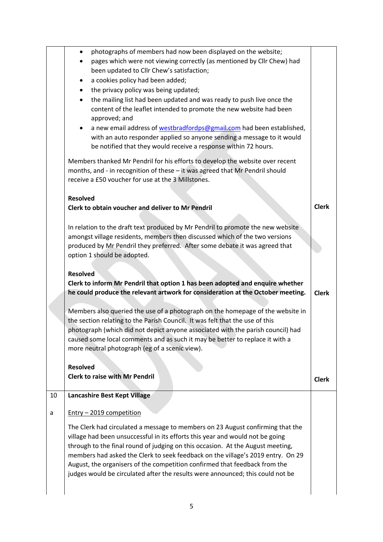|    | photographs of members had now been displayed on the website;<br>٠                 |              |  |  |  |
|----|------------------------------------------------------------------------------------|--------------|--|--|--|
|    | pages which were not viewing correctly (as mentioned by Cllr Chew) had             |              |  |  |  |
|    | been updated to Cllr Chew's satisfaction;                                          |              |  |  |  |
|    | a cookies policy had been added;<br>٠                                              |              |  |  |  |
|    | the privacy policy was being updated;<br>٠                                         |              |  |  |  |
|    | the mailing list had been updated and was ready to push live once the<br>$\bullet$ |              |  |  |  |
|    | content of the leaflet intended to promote the new website had been                |              |  |  |  |
|    | approved; and                                                                      |              |  |  |  |
|    | a new email address of westbradfordps@gmail.com had been established,<br>٠         |              |  |  |  |
|    | with an auto responder applied so anyone sending a message to it would             |              |  |  |  |
|    | be notified that they would receive a response within 72 hours.                    |              |  |  |  |
|    | Members thanked Mr Pendril for his efforts to develop the website over recent      |              |  |  |  |
|    | months, and - in recognition of these - it was agreed that Mr Pendril should       |              |  |  |  |
|    | receive a £50 voucher for use at the 3 Millstones.                                 |              |  |  |  |
|    |                                                                                    |              |  |  |  |
|    | <b>Resolved</b>                                                                    |              |  |  |  |
|    | Clerk to obtain voucher and deliver to Mr Pendril                                  | <b>Clerk</b> |  |  |  |
|    |                                                                                    |              |  |  |  |
|    | In relation to the draft text produced by Mr Pendril to promote the new website    |              |  |  |  |
|    | amongst village residents, members then discussed which of the two versions        |              |  |  |  |
|    | produced by Mr Pendril they preferred. After some debate it was agreed that        |              |  |  |  |
|    | option 1 should be adopted.                                                        |              |  |  |  |
|    |                                                                                    |              |  |  |  |
|    | <b>Resolved</b>                                                                    |              |  |  |  |
|    |                                                                                    |              |  |  |  |
|    |                                                                                    |              |  |  |  |
|    | Clerk to inform Mr Pendril that option 1 has been adopted and enquire whether      |              |  |  |  |
|    | he could produce the relevant artwork for consideration at the October meeting.    | <b>Clerk</b> |  |  |  |
|    |                                                                                    |              |  |  |  |
|    | Members also queried the use of a photograph on the homepage of the website in     |              |  |  |  |
|    | the section relating to the Parish Council. It was felt that the use of this       |              |  |  |  |
|    | photograph (which did not depict anyone associated with the parish council) had    |              |  |  |  |
|    | caused some local comments and as such it may be better to replace it with a       |              |  |  |  |
|    | more neutral photograph (eg of a scenic view).                                     |              |  |  |  |
|    |                                                                                    |              |  |  |  |
|    | <b>Resolved</b>                                                                    |              |  |  |  |
|    | <b>Clerk to raise with Mr Pendril</b>                                              | <b>Clerk</b> |  |  |  |
| 10 | Lancashire Best Kept Village                                                       |              |  |  |  |
|    |                                                                                    |              |  |  |  |
| a  | Entry - 2019 competition                                                           |              |  |  |  |
|    | The Clerk had circulated a message to members on 23 August confirming that the     |              |  |  |  |
|    | village had been unsuccessful in its efforts this year and would not be going      |              |  |  |  |
|    | through to the final round of judging on this occasion. At the August meeting,     |              |  |  |  |
|    |                                                                                    |              |  |  |  |
|    | members had asked the Clerk to seek feedback on the village's 2019 entry. On 29    |              |  |  |  |
|    | August, the organisers of the competition confirmed that feedback from the         |              |  |  |  |
|    | judges would be circulated after the results were announced; this could not be     |              |  |  |  |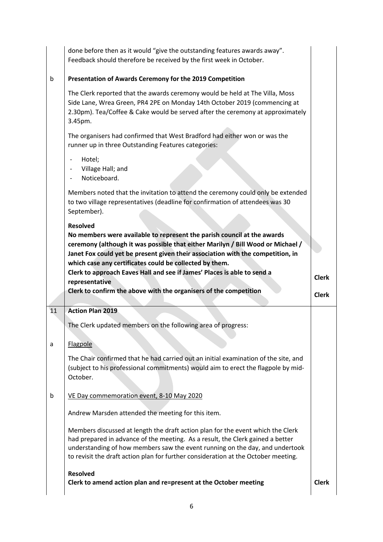|    | done before then as it would "give the outstanding features awards away".<br>Feedback should therefore be received by the first week in October.                                                                                                                                                                                        |              |
|----|-----------------------------------------------------------------------------------------------------------------------------------------------------------------------------------------------------------------------------------------------------------------------------------------------------------------------------------------|--------------|
| b  | Presentation of Awards Ceremony for the 2019 Competition                                                                                                                                                                                                                                                                                |              |
|    | The Clerk reported that the awards ceremony would be held at The Villa, Moss<br>Side Lane, Wrea Green, PR4 2PE on Monday 14th October 2019 (commencing at<br>2.30pm). Tea/Coffee & Cake would be served after the ceremony at approximately<br>3.45pm.                                                                                  |              |
|    | The organisers had confirmed that West Bradford had either won or was the<br>runner up in three Outstanding Features categories:                                                                                                                                                                                                        |              |
|    | Hotel;<br>$\qquad \qquad -$<br>Village Hall; and<br>Noticeboard.                                                                                                                                                                                                                                                                        |              |
|    | Members noted that the invitation to attend the ceremony could only be extended<br>to two village representatives (deadline for confirmation of attendees was 30<br>September).                                                                                                                                                         |              |
|    | <b>Resolved</b>                                                                                                                                                                                                                                                                                                                         |              |
|    | No members were available to represent the parish council at the awards<br>ceremony (although it was possible that either Marilyn / Bill Wood or Michael /<br>Janet Fox could yet be present given their association with the competition, in                                                                                           |              |
|    | which case any certificates could be collected by them.                                                                                                                                                                                                                                                                                 |              |
|    | Clerk to approach Eaves Hall and see if James' Places is able to send a                                                                                                                                                                                                                                                                 | <b>Clerk</b> |
|    | representative<br>Clerk to confirm the above with the organisers of the competition                                                                                                                                                                                                                                                     | <b>Clerk</b> |
| 11 | <b>Action Plan 2019</b>                                                                                                                                                                                                                                                                                                                 |              |
|    | The Clerk updated members on the following area of progress:                                                                                                                                                                                                                                                                            |              |
| a  | Flagpole                                                                                                                                                                                                                                                                                                                                |              |
|    | The Chair confirmed that he had carried out an initial examination of the site, and<br>(subject to his professional commitments) would aim to erect the flagpole by mid-<br>October.                                                                                                                                                    |              |
| b  | VE Day commemoration event, 8-10 May 2020                                                                                                                                                                                                                                                                                               |              |
|    | Andrew Marsden attended the meeting for this item.                                                                                                                                                                                                                                                                                      |              |
|    | Members discussed at length the draft action plan for the event which the Clerk<br>had prepared in advance of the meeting. As a result, the Clerk gained a better<br>understanding of how members saw the event running on the day, and undertook<br>to revisit the draft action plan for further consideration at the October meeting. |              |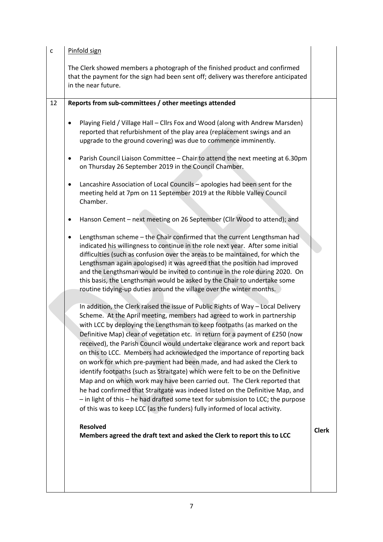| $\mathsf{C}$ | Pinfold sign                                                                                                                                                                                                                                                                                                                                                                                                                                                                                                                                                                                                                                                                                                                                                                                                                                                                                                                                                                       |              |  |  |
|--------------|------------------------------------------------------------------------------------------------------------------------------------------------------------------------------------------------------------------------------------------------------------------------------------------------------------------------------------------------------------------------------------------------------------------------------------------------------------------------------------------------------------------------------------------------------------------------------------------------------------------------------------------------------------------------------------------------------------------------------------------------------------------------------------------------------------------------------------------------------------------------------------------------------------------------------------------------------------------------------------|--------------|--|--|
|              | The Clerk showed members a photograph of the finished product and confirmed<br>that the payment for the sign had been sent off; delivery was therefore anticipated<br>in the near future.                                                                                                                                                                                                                                                                                                                                                                                                                                                                                                                                                                                                                                                                                                                                                                                          |              |  |  |
| 12           | Reports from sub-committees / other meetings attended                                                                                                                                                                                                                                                                                                                                                                                                                                                                                                                                                                                                                                                                                                                                                                                                                                                                                                                              |              |  |  |
|              | Playing Field / Village Hall - Cllrs Fox and Wood (along with Andrew Marsden)<br>٠<br>reported that refurbishment of the play area (replacement swings and an<br>upgrade to the ground covering) was due to commence imminently.                                                                                                                                                                                                                                                                                                                                                                                                                                                                                                                                                                                                                                                                                                                                                   |              |  |  |
|              | Parish Council Liaison Committee - Chair to attend the next meeting at 6.30pm<br>$\bullet$<br>on Thursday 26 September 2019 in the Council Chamber.                                                                                                                                                                                                                                                                                                                                                                                                                                                                                                                                                                                                                                                                                                                                                                                                                                |              |  |  |
|              | Lancashire Association of Local Councils - apologies had been sent for the<br>٠<br>meeting held at 7pm on 11 September 2019 at the Ribble Valley Council<br>Chamber.                                                                                                                                                                                                                                                                                                                                                                                                                                                                                                                                                                                                                                                                                                                                                                                                               |              |  |  |
|              | Hanson Cement - next meeting on 26 September (Cllr Wood to attend); and<br>٠                                                                                                                                                                                                                                                                                                                                                                                                                                                                                                                                                                                                                                                                                                                                                                                                                                                                                                       |              |  |  |
|              | Lengthsman scheme - the Chair confirmed that the current Lengthsman had<br>٠<br>indicated his willingness to continue in the role next year. After some initial<br>difficulties (such as confusion over the areas to be maintained, for which the<br>Lengthsman again apologised) it was agreed that the position had improved<br>and the Lengthsman would be invited to continue in the role during 2020. On<br>this basis, the Lengthsman would be asked by the Chair to undertake some<br>routine tidying-up duties around the village over the winter months.                                                                                                                                                                                                                                                                                                                                                                                                                  |              |  |  |
|              | In addition, the Clerk raised the issue of Public Rights of Way - Local Delivery<br>Scheme. At the April meeting, members had agreed to work in partnership<br>with LCC by deploying the Lengthsman to keep footpaths (as marked on the<br>Definitive Map) clear of vegetation etc. In return for a payment of £250 (now<br>received), the Parish Council would undertake clearance work and report back<br>on this to LCC. Members had acknowledged the importance of reporting back<br>on work for which pre-payment had been made, and had asked the Clerk to<br>identify footpaths (such as Straitgate) which were felt to be on the Definitive<br>Map and on which work may have been carried out. The Clerk reported that<br>he had confirmed that Straitgate was indeed listed on the Definitive Map, and<br>- in light of this - he had drafted some text for submission to LCC; the purpose<br>of this was to keep LCC (as the funders) fully informed of local activity. |              |  |  |
|              | <b>Resolved</b><br>Members agreed the draft text and asked the Clerk to report this to LCC                                                                                                                                                                                                                                                                                                                                                                                                                                                                                                                                                                                                                                                                                                                                                                                                                                                                                         | <b>Clerk</b> |  |  |
|              |                                                                                                                                                                                                                                                                                                                                                                                                                                                                                                                                                                                                                                                                                                                                                                                                                                                                                                                                                                                    |              |  |  |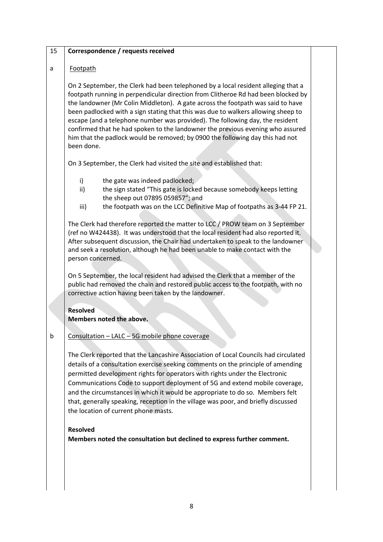#### 15 **Correspondence / requests received**

## a Footpath

On 2 September, the Clerk had been telephoned by a local resident alleging that a footpath running in perpendicular direction from Clitheroe Rd had been blocked by the landowner (Mr Colin Middleton). A gate across the footpath was said to have been padlocked with a sign stating that this was due to walkers allowing sheep to escape (and a telephone number was provided). The following day, the resident confirmed that he had spoken to the landowner the previous evening who assured him that the padlock would be removed; by 0900 the following day this had not been done.

On 3 September, the Clerk had visited the site and established that:

- i) the gate was indeed padlocked;
- ii) the sign stated "This gate is locked because somebody keeps letting the sheep out 07895 059857"; and
- iii) the footpath was on the LCC Definitive Map of footpaths as 3-44 FP 21.

The Clerk had therefore reported the matter to LCC / PROW team on 3 September (ref no W424438). It was understood that the local resident had also reported it. After subsequent discussion, the Chair had undertaken to speak to the landowner and seek a resolution, although he had been unable to make contact with the person concerned.

On 5 September, the local resident had advised the Clerk that a member of the public had removed the chain and restored public access to the footpath, with no corrective action having been taken by the landowner.

## **Resolved Members noted the above.**

## $b \mid$  Consultation – LALC – 5G mobile phone coverage

The Clerk reported that the Lancashire Association of Local Councils had circulated details of a consultation exercise seeking comments on the principle of amending permitted development rights for operators with rights under the Electronic Communications Code to support deployment of 5G and extend mobile coverage, and the circumstances in which it would be appropriate to do so. Members felt that, generally speaking, reception in the village was poor, and briefly discussed the location of current phone masts.

#### **Resolved**

**Members noted the consultation but declined to express further comment.**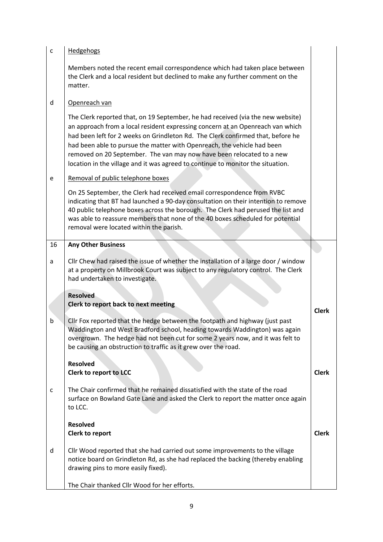| c  | <b>Hedgehogs</b>                                                                                                                                                                                                                                                                                                                                                                                                                                                                            |              |
|----|---------------------------------------------------------------------------------------------------------------------------------------------------------------------------------------------------------------------------------------------------------------------------------------------------------------------------------------------------------------------------------------------------------------------------------------------------------------------------------------------|--------------|
|    | Members noted the recent email correspondence which had taken place between<br>the Clerk and a local resident but declined to make any further comment on the<br>matter.                                                                                                                                                                                                                                                                                                                    |              |
| d  | Openreach van                                                                                                                                                                                                                                                                                                                                                                                                                                                                               |              |
|    | The Clerk reported that, on 19 September, he had received (via the new website)<br>an approach from a local resident expressing concern at an Openreach van which<br>had been left for 2 weeks on Grindleton Rd. The Clerk confirmed that, before he<br>had been able to pursue the matter with Openreach, the vehicle had been<br>removed on 20 September. The van may now have been relocated to a new<br>location in the village and it was agreed to continue to monitor the situation. |              |
| e  | Removal of public telephone boxes                                                                                                                                                                                                                                                                                                                                                                                                                                                           |              |
|    | On 25 September, the Clerk had received email correspondence from RVBC<br>indicating that BT had launched a 90-day consultation on their intention to remove<br>40 public telephone boxes across the borough. The Clerk had perused the list and<br>was able to reassure members that none of the 40 boxes scheduled for potential<br>removal were located within the parish.                                                                                                               |              |
| 16 | <b>Any Other Business</b>                                                                                                                                                                                                                                                                                                                                                                                                                                                                   |              |
| a  | Cllr Chew had raised the issue of whether the installation of a large door / window<br>at a property on Millbrook Court was subject to any regulatory control. The Clerk<br>had undertaken to investigate.                                                                                                                                                                                                                                                                                  |              |
|    | <b>Resolved</b><br>Clerk to report back to next meeting                                                                                                                                                                                                                                                                                                                                                                                                                                     | <b>Clerk</b> |
| b  | Cllr Fox reported that the hedge between the footpath and highway (just past<br>Waddington and West Bradford school, heading towards Waddington) was again<br>overgrown. The hedge had not been cut for some 2 years now, and it was felt to<br>be causing an obstruction to traffic as it grew over the road.                                                                                                                                                                              |              |
|    | <b>Resolved</b><br>Clerk to report to LCC                                                                                                                                                                                                                                                                                                                                                                                                                                                   | <b>Clerk</b> |
| c  | The Chair confirmed that he remained dissatisfied with the state of the road<br>surface on Bowland Gate Lane and asked the Clerk to report the matter once again<br>to LCC.                                                                                                                                                                                                                                                                                                                 |              |
|    | <b>Resolved</b><br>Clerk to report                                                                                                                                                                                                                                                                                                                                                                                                                                                          | <b>Clerk</b> |
| d  | Cllr Wood reported that she had carried out some improvements to the village<br>notice board on Grindleton Rd, as she had replaced the backing (thereby enabling<br>drawing pins to more easily fixed).                                                                                                                                                                                                                                                                                     |              |
|    | The Chair thanked Cllr Wood for her efforts.                                                                                                                                                                                                                                                                                                                                                                                                                                                |              |